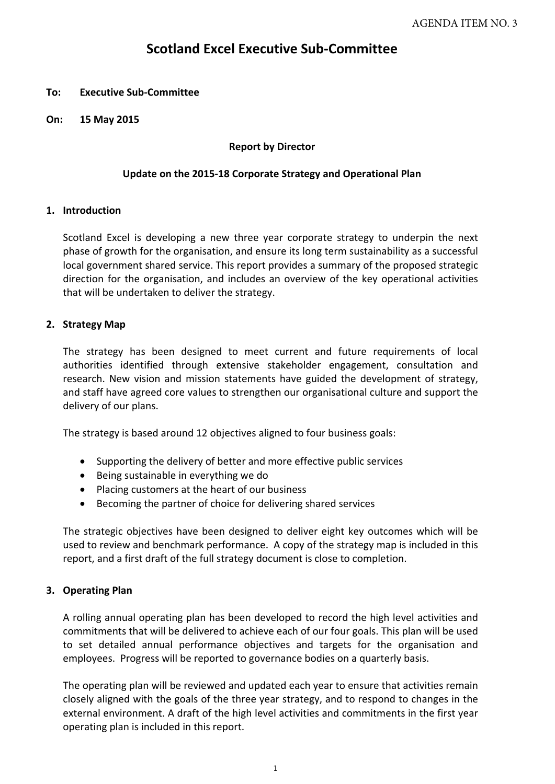### **Scotland Excel Executive Sub‐Committee**

### **To: Executive Sub‐Committee**

**On: 15 May 2015**

### **Report by Director**

### **Update on the 2015‐18 Corporate Strategy and Operational Plan**

### **1. Introduction**

Scotland Excel is developing a new three year corporate strategy to underpin the next phase of growth for the organisation, and ensure its long term sustainability as a successful local government shared service. This report provides a summary of the proposed strategic direction for the organisation, and includes an overview of the key operational activities that will be undertaken to deliver the strategy.

### **2. Strategy Map**

The strategy has been designed to meet current and future requirements of local authorities identified through extensive stakeholder engagement, consultation and research. New vision and mission statements have guided the development of strategy, and staff have agreed core values to strengthen our organisational culture and support the delivery of our plans.

The strategy is based around 12 objectives aligned to four business goals:

- Supporting the delivery of better and more effective public services
- Being sustainable in everything we do
- Placing customers at the heart of our business
- Becoming the partner of choice for delivering shared services

The strategic objectives have been designed to deliver eight key outcomes which will be used to review and benchmark performance. A copy of the strategy map is included in this report, and a first draft of the full strategy document is close to completion.

### **3. Operating Plan**

A rolling annual operating plan has been developed to record the high level activities and commitments that will be delivered to achieve each of our four goals. This plan will be used to set detailed annual performance objectives and targets for the organisation and employees. Progress will be reported to governance bodies on a quarterly basis.

The operating plan will be reviewed and updated each year to ensure that activities remain closely aligned with the goals of the three year strategy, and to respond to changes in the external environment. A draft of the high level activities and commitments in the first year operating plan is included in this report.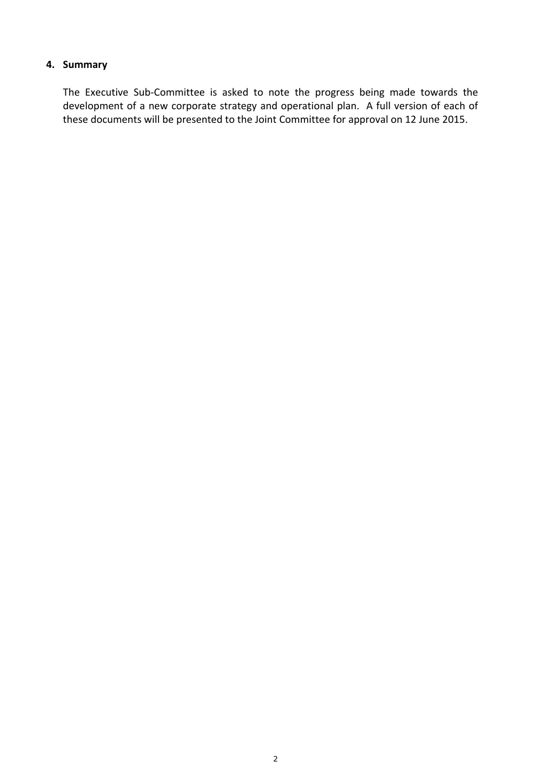### **4. Summary**

The Executive Sub-Committee is asked to note the progress being made towards the development of a new corporate strategy and operational plan. A full version of each of these documents will be presented to the Joint Committee for approval on 12 June 2015.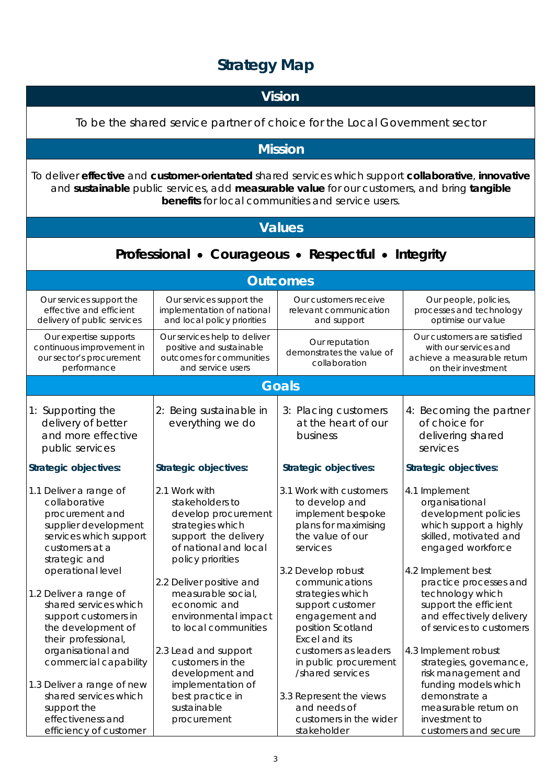## **Strategy Map**

|                                                                                                                                                                      |                                                                                                                                                                               | <b>Vision</b>                                                                                                                                                  |                                                                                                                                                                                  |
|----------------------------------------------------------------------------------------------------------------------------------------------------------------------|-------------------------------------------------------------------------------------------------------------------------------------------------------------------------------|----------------------------------------------------------------------------------------------------------------------------------------------------------------|----------------------------------------------------------------------------------------------------------------------------------------------------------------------------------|
|                                                                                                                                                                      |                                                                                                                                                                               | To be the shared service partner of choice for the Local Government sector                                                                                     |                                                                                                                                                                                  |
|                                                                                                                                                                      |                                                                                                                                                                               | <b>Mission</b>                                                                                                                                                 |                                                                                                                                                                                  |
|                                                                                                                                                                      |                                                                                                                                                                               | and sustainable public services, add measurable value for our customers, and bring tangible<br><b>benefits</b> for local communities and service users.        | To deliver effective and customer-orientated shared services which support collaborative, innovative                                                                             |
|                                                                                                                                                                      |                                                                                                                                                                               | <b>Values</b>                                                                                                                                                  |                                                                                                                                                                                  |
|                                                                                                                                                                      |                                                                                                                                                                               | Professional . Courageous . Respectful . Integrity                                                                                                             |                                                                                                                                                                                  |
|                                                                                                                                                                      |                                                                                                                                                                               | <b>Outcomes</b>                                                                                                                                                |                                                                                                                                                                                  |
| Our services support the<br>effective and efficient<br>delivery of public services                                                                                   | Our services support the<br>implementation of national<br>and local policy priorities                                                                                         | Our customers receive<br>relevant communication<br>and support                                                                                                 | Our people, policies,<br>processes and technology<br>optimise our value                                                                                                          |
| Our expertise supports<br>continuous improvement in<br>our sector's procurement<br>performance                                                                       | Our services help to deliver<br>positive and sustainable<br>outcomes for communities<br>and service users                                                                     | Our reputation<br>demonstrates the value of<br>collaboration                                                                                                   | Our customers are satisfied<br>with our services and<br>achieve a measurable return<br>on their investment                                                                       |
|                                                                                                                                                                      |                                                                                                                                                                               | <b>Goals</b>                                                                                                                                                   |                                                                                                                                                                                  |
| 1: Supporting the<br>delivery of better<br>and more effective<br>public services                                                                                     | 2: Being sustainable in<br>everything we do                                                                                                                                   | 3: Placing customers<br>at the heart of our<br>business                                                                                                        | 4: Becoming the partner<br>of choice for<br>delivering shared<br>services                                                                                                        |
| <b>Strategic objectives:</b>                                                                                                                                         | Strategic objectives:                                                                                                                                                         | Strategic objectives:                                                                                                                                          | <b>Strategic objectives:</b>                                                                                                                                                     |
| 1.1 Deliver a range of<br>collaborative<br>procurement and<br>supplier development<br>services which support<br>customers at a<br>strategic and<br>operational level | 2.1 Work with<br>stakeholders to<br>develop procurement<br>strategies which<br>support the delivery<br>of national and local<br>policy priorities<br>2.2 Deliver positive and | 3.1 Work with customers<br>to develop and<br>implement bespoke<br>plans for maximising<br>the value of our<br>services<br>3.2 Develop robust<br>communications | 4.1 Implement<br>organisational<br>development policies<br>which support a highly<br>skilled, motivated and<br>engaged workforce<br>4.2 Implement best<br>practice processes and |
| 1.2 Deliver a range of<br>shared services which<br>support customers in<br>the development of<br>their professional,                                                 | measurable social,<br>economic and<br>environmental impact<br>to local communities                                                                                            | strategies which<br>support customer<br>engagement and<br>position Scotland<br>Excel and its                                                                   | technology which<br>support the efficient<br>and effectively delivery<br>of services to customers                                                                                |
| organisational and<br>commercial capability<br>1.3 Deliver a range of new<br>shared services which<br>support the<br>effectiveness and<br>efficiency of customer     | 2.3 Lead and support<br>customers in the<br>development and<br>implementation of<br>best practice in<br>sustainable<br>procurement                                            | customers as leaders<br>in public procurement<br>/shared services<br>3.3 Represent the views<br>and needs of<br>customers in the wider<br>stakeholder          | 4.3 Implement robust<br>strategies, governance,<br>risk management and<br>funding models which<br>demonstrate a<br>measurable return on<br>investment to<br>customers and secure |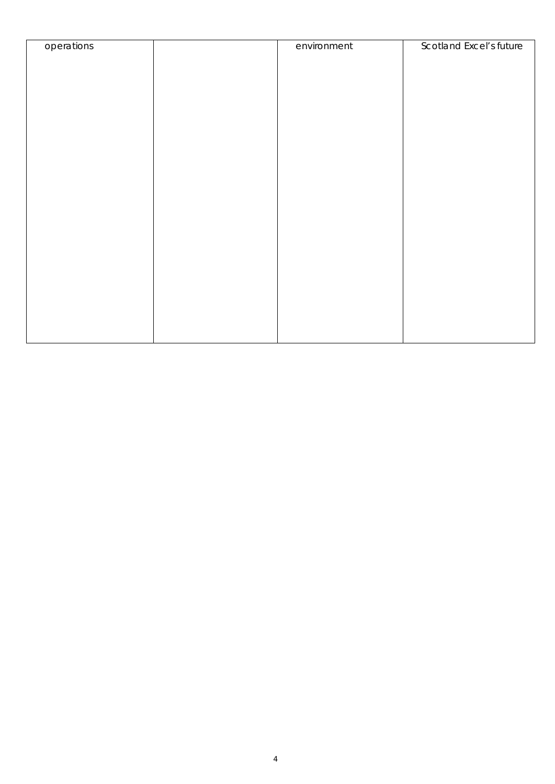| operations | environment | Scotland Excel's future |
|------------|-------------|-------------------------|
|            |             |                         |
|            |             |                         |
|            |             |                         |
|            |             |                         |
|            |             |                         |
|            |             |                         |
|            |             |                         |
|            |             |                         |
|            |             |                         |
|            |             |                         |
|            |             |                         |
|            |             |                         |
|            |             |                         |
|            |             |                         |
|            |             |                         |
|            |             |                         |
|            |             |                         |
|            |             |                         |
|            |             |                         |
|            |             |                         |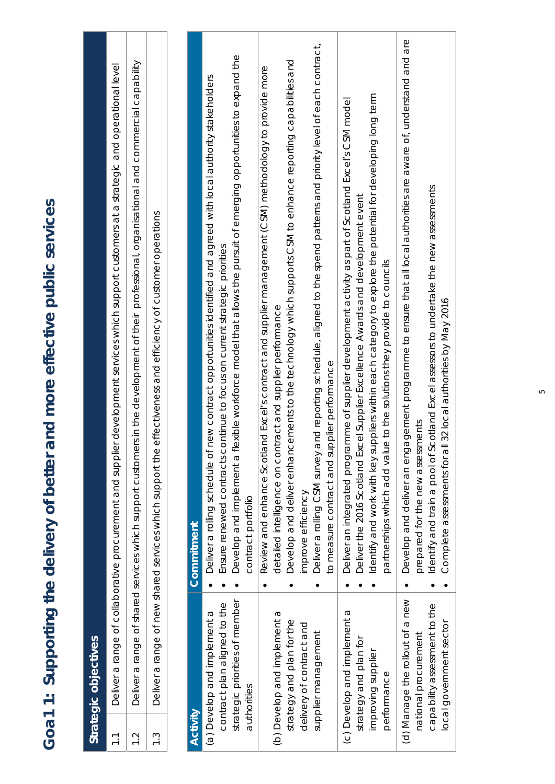| tter and more effective public services<br>Goa1 1: Supporting the delivery of bet | trategic objectives |
|-----------------------------------------------------------------------------------|---------------------|
|                                                                                   |                     |

1.1 Deliver a range of collaborative procurement and supplier development services which support customers at a strategic and operational level

 $\frac{1}{2}$ 

Deliver a range of collaborative procurement and supplier development services which support customers at a strategic and operational level

| $\frac{2}{1}$ |                                 | Deliver a range of shared services which support customers in the development of their professional, organisational and commercial capability |
|---------------|---------------------------------|-----------------------------------------------------------------------------------------------------------------------------------------------|
| $\frac{3}{1}$ |                                 | effectiveness and efficiency of customer operations<br>Deliver a range of new shared services which support the                               |
|               |                                 |                                                                                                                                               |
| Activity      |                                 | Commitment                                                                                                                                    |
|               | (a) Develop and implement a     | Deliver a rolling schedule of new contract opportunities identified and agreed with local authority stakeholders                              |
|               | contract plan aligned to the    | Ensure renewed contracts continue to focus on current strategic priorities                                                                    |
|               | strategic priorities of member  | Develop and implement a flexible workforce model that allows the pursuit of emerging opportunities to expand the                              |
|               | authorities                     | contract portfolio                                                                                                                            |
|               |                                 | Review and enhance Scotland Excel's contract and supplier management (CSM) methodology to provide more                                        |
|               | (b) Develop and implement a     | detailed intelligence on contract and supplier performance                                                                                    |
|               | strategy and plan for the       | Develop and deliver enhancements to the technology which supports CSM to enhance reporting capabilities and                                   |
|               | delivery of contract and        | improve efficiency                                                                                                                            |
|               | supplier management             | and reporting schedule, aligned to the spend patterns and priority level of each contract,<br>Deliver a rolling CSM survey                    |
|               |                                 | to measure contract and supplier performance                                                                                                  |
|               | (c) Develop and implement a     | Deliver an integrated programme of supplier development activity as part of Scotland Excel's CSM model                                        |
|               | strategy and plan for           | Deliver the 2016 Scotland Excel Supplier Excellence Awards and development event                                                              |
|               | improving supplier              | Identify and work with key suppliers within each category to explore the potential for developing long term                                   |
|               | performance                     | e to the solutions they provide to councils<br>partnerships which add valu                                                                    |
|               | (d) Manage the rollout of a new | agement programme to ensure that all local authorities are aware of, understand and are<br>Develop and deliver an eng                         |
|               | national procurement            | prepared for the new assessments                                                                                                              |
|               | capability assessment to the    | icotland Excel assessors to undertake the new assessments<br>Identify and train a pool of S                                                   |
|               | local government sector         | Complete assessments for all 32 local authorities by May 2016                                                                                 |

local government sector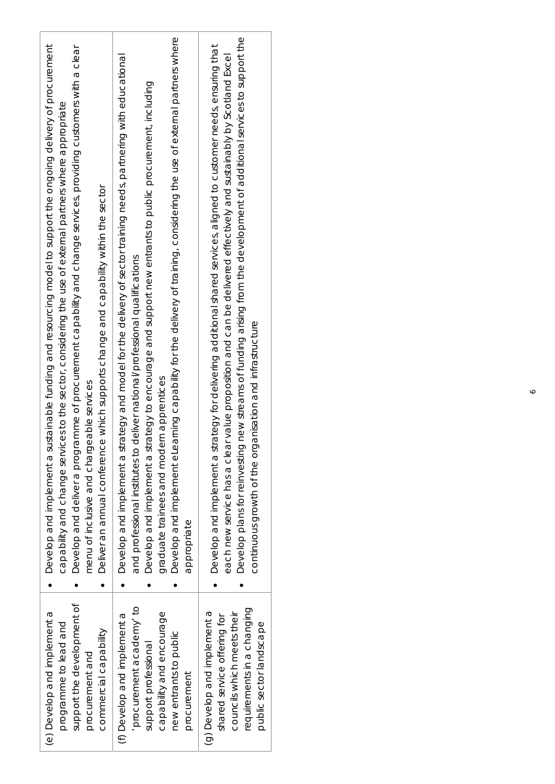| support the development of<br>procurement academy to<br>(e) Develop and implement a<br>capability and encourage<br>(g) Develop and implement a<br>(f) Develop and implement a<br>councils which meets their<br>shared service offering for<br>programme to lead and<br>commercial capability<br>new entrants to public<br>support professional<br>procurement and<br>procurement | Develop and implement eLearning capability for the delivery of training, considering the use of external partners where<br>Develop and implement a sustainable funding and resourcing model to support the ongoing delivery of procurement<br>Develop and implement a strategy for delivering additional shared services, aligned to customer needs, ensuring that<br>amme of procurement capability and changes evices, providing customers with a clear<br>each new service has a clear value proposition and can be delivered effectively and sustainably by Scotland Excel<br>Develop and implement a strategy and model for the delivery of sector training needs, partnering with educational<br>Develop and implement a strategy to encourage and support new entrants to public procurement, including<br>capability and change services to the sector, considering the use of external partners where appropriate<br>e which supports change and capability within the sector<br>deliver national/professional qualifications<br>graduate trainees and modern apprentices<br>menu of inclusive and chargeable services<br>Develop and deliver a progr<br>Deliver an annual conferenc<br>and professional institutes to<br>appropriate |
|----------------------------------------------------------------------------------------------------------------------------------------------------------------------------------------------------------------------------------------------------------------------------------------------------------------------------------------------------------------------------------|------------------------------------------------------------------------------------------------------------------------------------------------------------------------------------------------------------------------------------------------------------------------------------------------------------------------------------------------------------------------------------------------------------------------------------------------------------------------------------------------------------------------------------------------------------------------------------------------------------------------------------------------------------------------------------------------------------------------------------------------------------------------------------------------------------------------------------------------------------------------------------------------------------------------------------------------------------------------------------------------------------------------------------------------------------------------------------------------------------------------------------------------------------------------------------------------------------------------------------------------|
| requirements in a changing<br>public sector landscape                                                                                                                                                                                                                                                                                                                            | new streams of funding arising from the development of additional services to support the<br>anisation and infrastructure<br>Develop plans for reinvesting<br>continuous growth of the org                                                                                                                                                                                                                                                                                                                                                                                                                                                                                                                                                                                                                                                                                                                                                                                                                                                                                                                                                                                                                                                     |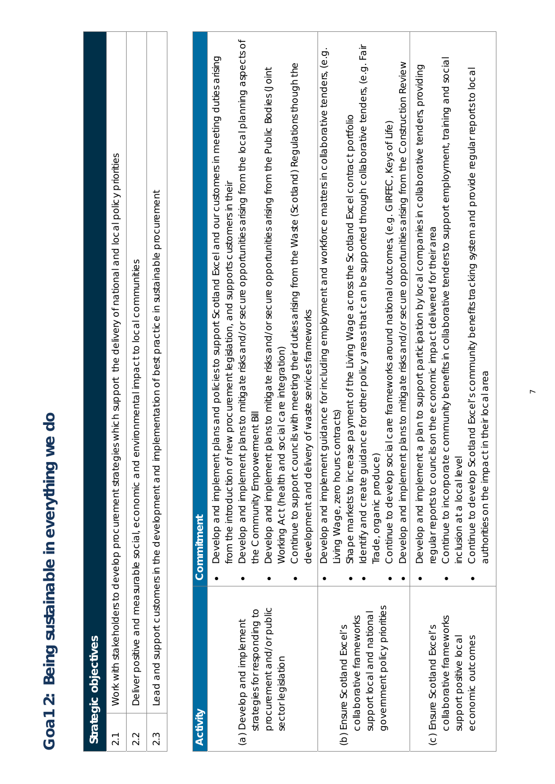|                  | Strategic objectives         |                                                                                                                                                                                                                     |
|------------------|------------------------------|---------------------------------------------------------------------------------------------------------------------------------------------------------------------------------------------------------------------|
| $\overline{2.1}$ |                              | ies which support the delivery of national and local policy priorities<br>Work with stakeholders to develop procurement strategi                                                                                    |
| 2.2              |                              | Deliver positive and measurable social, economic and environmental impact to local communities                                                                                                                      |
| 2.3              |                              | Lead and support customers in the development and implementation of best practice in sustainable procurement                                                                                                        |
|                  |                              |                                                                                                                                                                                                                     |
| Activity         |                              | Commitment                                                                                                                                                                                                          |
|                  |                              | plans and policies to support Scotland Excel and our customers in meeting duties arising<br>Develop and implement                                                                                                   |
|                  | (a) Develop and implement    | plans to mitigate risks and/or secure opportunities arising from the local planning aspects of<br>new procurement legislation, and supports customers in their<br>Develop and implement<br>from the introduction of |
|                  | strategies for responding to | the Community Empowerment Bill                                                                                                                                                                                      |
|                  | procurement and/or public    | plans to mitigate risks and/or secure opportunities arising from the Public Bodies (Joint<br>Develop and implement                                                                                                  |
|                  | sector legislation           | social care integration)<br>Working Act (health and                                                                                                                                                                 |
|                  |                              | ncils with meeting their duties arising from the Waste (Scotland) Regulations though the<br>Continue to support cou                                                                                                 |
|                  |                              | development and delivery of waste services frameworks                                                                                                                                                               |
|                  |                              | guidance for including employment and workforce matters in collaborative tenders, (e.g.<br>Develop and implement                                                                                                    |
|                  | (b) Ensure Scotland Excel's  | Living Wage, zero hours contracts)                                                                                                                                                                                  |
|                  | collaborative frameworks     | Shape markets to increase payment of the Living Wage across the Scotland Excel contract portfolio                                                                                                                   |
|                  | support local and national   | Identify and create guidance for other policy areas that can be supported through collaborative tenders, (e.g. Fair                                                                                                 |
|                  | government policy priorities | Trade, organic produce)                                                                                                                                                                                             |
|                  |                              | Continue to develop social care frameworks around national outcomes, (e.g. GIRFEC, Keys of Life)                                                                                                                    |
|                  |                              | plans to mitigate risks and/or secure opportunities arising from the Construction Review<br>Develop and implement                                                                                                   |
|                  |                              | a plan to support participation by local companies in collaborative tenders, providing<br>Develop and implement                                                                                                     |
|                  | (c) Ensure Scotland Excel's  | Is on the economic impact delivered for their area<br>regular reports to counci                                                                                                                                     |
|                  | collaborative frameworks     | community benefits in collaborative tenders to support employment, training and social<br>Continue to incorporate                                                                                                   |
|                  | support positive local       | inclusion at a local level                                                                                                                                                                                          |
|                  | economic outcomes            | Continue to develop Scotland Excel's community benefits tracking system and provide regular reports to local                                                                                                        |
|                  |                              | authorities on the impact in their local area                                                                                                                                                                       |
|                  |                              |                                                                                                                                                                                                                     |

# Goa1 2: Being sustainable in everything we do **Goa1 2: Being sustainable in everything we do**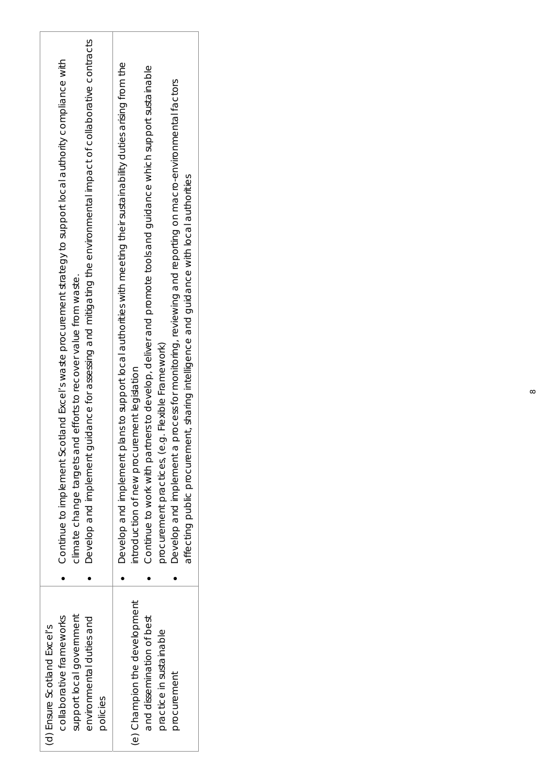| support local government<br>environmental duties and<br>collaborative frameworks<br>(d) Ensure Scotland Excel's<br>policies | Develop and implement                                                                                                    | guidance for assessing and mitigating the environmental impact of collaborative contracts<br>Continue to implement Scotland Excel's waste procurement strategy to support local authority compliance with<br>climate change targets and efforts to recover value from waste.                                                                                                                                    |
|-----------------------------------------------------------------------------------------------------------------------------|--------------------------------------------------------------------------------------------------------------------------|-----------------------------------------------------------------------------------------------------------------------------------------------------------------------------------------------------------------------------------------------------------------------------------------------------------------------------------------------------------------------------------------------------------------|
| (e) Champion the development<br>and dissemination of best<br>practice in sustainable<br>procurement                         | procurement practices, (e.g. Flexible Framework)<br>introduction of new procurement legislation<br>Develop and implement | plans to support local authorities with meeting their sustainability duties arising from the<br>Continue to work with partners to develop, deliver and promote tools and guidance which support sustainable<br>Develop and implement a process for monitoring, reviewing and reporting on macro-environmental factors<br>affecting public procurement, sharing intelligence and guidance with local authorities |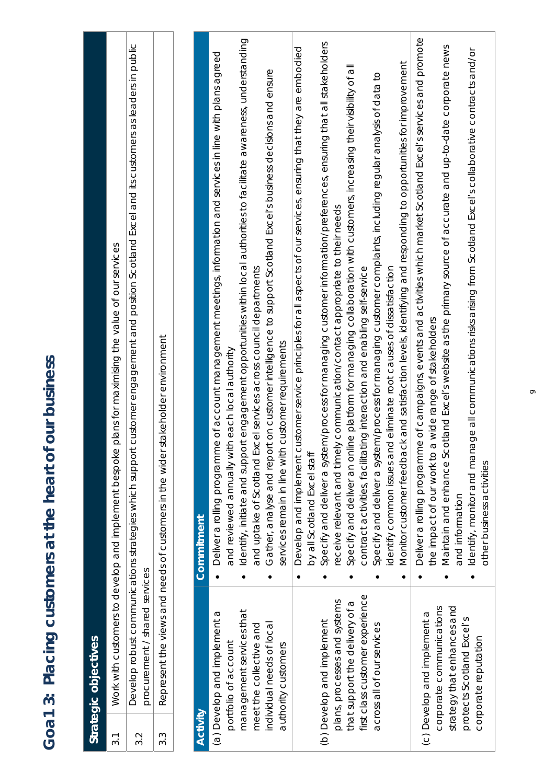| : - > - - - - - - - - -                                                                                                                                                                                                            |
|------------------------------------------------------------------------------------------------------------------------------------------------------------------------------------------------------------------------------------|
| conduction in the function of the side of the side of the side of the side of the side of the side of the side of the side of the side of the side of the side of the side of the side of the side of the side of the side of<br>í |
|                                                                                                                                                                                                                                    |
| ĺ                                                                                                                                                                                                                                  |

**Strategic objectives** 

Strategic objectives

| 3.1      |                                                                                                                                            | plans for maximising the value of our services<br>Work with customers to develop and implement bespoke                                                                                                                                                                                                                                                                                                                                                                       |
|----------|--------------------------------------------------------------------------------------------------------------------------------------------|------------------------------------------------------------------------------------------------------------------------------------------------------------------------------------------------------------------------------------------------------------------------------------------------------------------------------------------------------------------------------------------------------------------------------------------------------------------------------|
| 3.2      | procurement / shared services                                                                                                              | customer engagement and position Scotland Excel and its customers as leaders in public<br>Develop robust communications strategies which suppor                                                                                                                                                                                                                                                                                                                              |
| 3.3      |                                                                                                                                            | stakeholder environment<br>Represent the views and needs of customers in the wider                                                                                                                                                                                                                                                                                                                                                                                           |
|          |                                                                                                                                            |                                                                                                                                                                                                                                                                                                                                                                                                                                                                              |
| Activity |                                                                                                                                            | Commitment                                                                                                                                                                                                                                                                                                                                                                                                                                                                   |
|          | (a) Develop and implement a<br>portfolio of account                                                                                        | Deliver a rolling programme of account management meetings, information and services in line with plans agreed<br>and reviewed annually with each local authority                                                                                                                                                                                                                                                                                                            |
|          | management services that<br>meet the collective and                                                                                        | Identify, initiate and support engagement opportunities within local authorities to facilitate awareness, understanding<br>and uptake of Scotland Excel services across council departments                                                                                                                                                                                                                                                                                  |
|          | individual needs of local<br>authority customers                                                                                           | Gather, analyse and report on customer intelligence to support Scotland Excel's business decisions and ensure<br>services remain in line with customer requirements                                                                                                                                                                                                                                                                                                          |
|          |                                                                                                                                            | Develop and implement customer service principles for all aspects of our services, ensuring that they are embodied<br>by all Scotland Excel staff                                                                                                                                                                                                                                                                                                                            |
|          | plans, processes and systems<br>(b) Develop and implement                                                                                  | Specify and deliver a system/process for managing customer information/preferences, ensuring that all stakeholders<br>receive relevant and timely communication/contact appropriate to their needs                                                                                                                                                                                                                                                                           |
|          | first class customer experience<br>that support the delivery of a                                                                          | Specify and deliver an online platform for managing collaboration with customers, increasing their visibility of all<br>contract activities, facilitating interaction and enabling self-service                                                                                                                                                                                                                                                                              |
|          | across all of our services                                                                                                                 | Specify and deliver a system/process for managing customer complaints, including regular analysis of data to<br>identify common issues and eliminate root causes of dissatisfaction                                                                                                                                                                                                                                                                                          |
|          |                                                                                                                                            | Monitor customer feedback and satisfaction levels, identifying and responding to opportunities for improvement<br>$\bullet$                                                                                                                                                                                                                                                                                                                                                  |
|          | strategy that enhances and<br>corporate communications<br>(c) Develop and implement a<br>protects Scotland Excel's<br>corporate reputation | Deliver a rolling programme of campaigns, events and activities which market Scotland Excel's services and promote<br>otland Excel's website as the primary source of accurate and up-to-date corporate news.<br>age all communications risks arising from Scotland Excel's collaborative contracts and/or<br>the impact of our work to a wide range of stakeholders<br>Maintain and enhance Sc<br>Identify, monitor and man<br>other business activities<br>and information |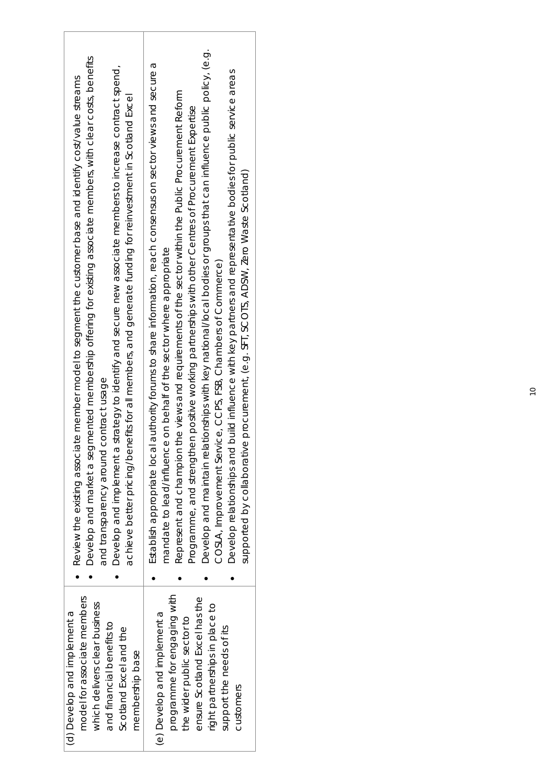| model for associate members                                                                                                                                                                         | Develop and market a segmented membership offering for existing associate members, with clear costs, benefits                                                                                                                                                                                                                                                                                                                                                                                                                                                                                                                                                                                                                                                                                                        |
|-----------------------------------------------------------------------------------------------------------------------------------------------------------------------------------------------------|----------------------------------------------------------------------------------------------------------------------------------------------------------------------------------------------------------------------------------------------------------------------------------------------------------------------------------------------------------------------------------------------------------------------------------------------------------------------------------------------------------------------------------------------------------------------------------------------------------------------------------------------------------------------------------------------------------------------------------------------------------------------------------------------------------------------|
| which delivers clear business                                                                                                                                                                       | strategy to identify and secure new associate members to increase contract spend,                                                                                                                                                                                                                                                                                                                                                                                                                                                                                                                                                                                                                                                                                                                                    |
| (d) Develop and implement a                                                                                                                                                                         | Review the existing associate member model to segment the customer base and identify cost/value streams                                                                                                                                                                                                                                                                                                                                                                                                                                                                                                                                                                                                                                                                                                              |
| and financial benefits to                                                                                                                                                                           | achieve better pricing/benefits for all members, and generate funding for reinvestment in Scotland Excel                                                                                                                                                                                                                                                                                                                                                                                                                                                                                                                                                                                                                                                                                                             |
| Scotland Excel and the                                                                                                                                                                              | and transparency around contract usage                                                                                                                                                                                                                                                                                                                                                                                                                                                                                                                                                                                                                                                                                                                                                                               |
| membership base                                                                                                                                                                                     | Develop and implement a                                                                                                                                                                                                                                                                                                                                                                                                                                                                                                                                                                                                                                                                                                                                                                                              |
| programme for engaging with<br>ensure Scotland Excel has the<br>right partnerships in place to<br>e) Develop and implement a<br>the wider public sector to<br>support the needs of its<br>customers | Develop and maintain relationships with key national/local bodies or groups that can influence public policy, (e.g.<br>authority forums to share information, reach consensus on sector views and secure a<br>build influence with key partners and representative bodies for public service areas<br>Represent and champion the views and requirements of the sector within the Public Procurement Reform<br>Programme, and strengthen positive working partnerships with other Centres of Procurement Expertise<br>supported by collaborative procurement, (e.g. SFT, SCOTS, ADSW, Zero Waste Scotland)<br>e on behalf of the sector where appropriate<br>ice, CCPS, FSB, Chambers of Commerce)<br>Establish appropriate local<br>mandate to lead/influenc<br>COSLA, Improvement Serv<br>Develop relationships and |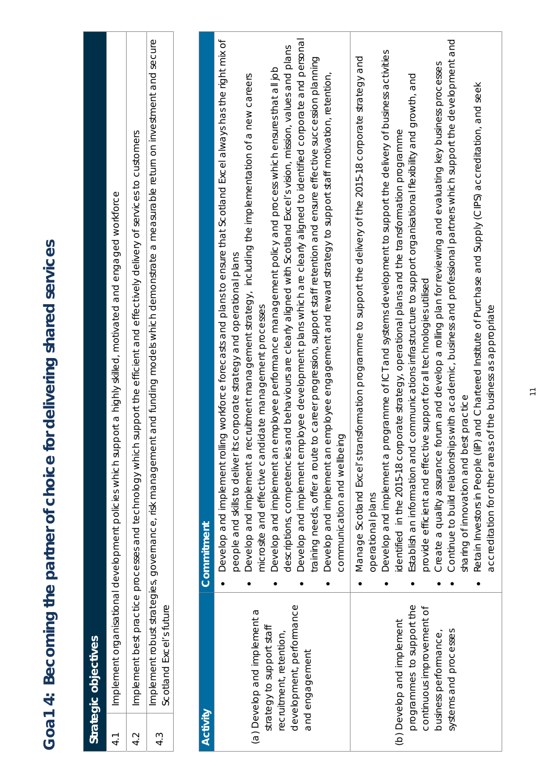| ming the partner of choice for delivering shared services               |
|-------------------------------------------------------------------------|
|                                                                         |
| )                                                                       |
|                                                                         |
|                                                                         |
|                                                                         |
|                                                                         |
| )                                                                       |
| Í<br><b>CCO</b><br>$\mathbf{)}$                                         |
| Œ<br>₹                                                                  |
| ത<br>$\overline{\mathsf{C}}$<br>١<br>$\overline{\phantom{0}}$<br>j<br>I |

**Strategic objectives** 

Strategic objectives

| $\overline{4}$ . |                                                                                                                                      | Implement organisational development policies which support a highly skilled, motivated and engaged workforce                                                                                                                                                                                                                                                                                                                                                                                                                                                                                                                                                                                                                                                                                                                                                                                                                                                                                                                              |
|------------------|--------------------------------------------------------------------------------------------------------------------------------------|--------------------------------------------------------------------------------------------------------------------------------------------------------------------------------------------------------------------------------------------------------------------------------------------------------------------------------------------------------------------------------------------------------------------------------------------------------------------------------------------------------------------------------------------------------------------------------------------------------------------------------------------------------------------------------------------------------------------------------------------------------------------------------------------------------------------------------------------------------------------------------------------------------------------------------------------------------------------------------------------------------------------------------------------|
| 4.2              |                                                                                                                                      | Implement best practice processes and technology which support the efficient and effectively delivery of services to customers                                                                                                                                                                                                                                                                                                                                                                                                                                                                                                                                                                                                                                                                                                                                                                                                                                                                                                             |
| $4.\overline{3}$ | Scotland Excel's future                                                                                                              | Implement robust strategies, governance, risk management and funding models which demonstrate a measurable return on investment and secure                                                                                                                                                                                                                                                                                                                                                                                                                                                                                                                                                                                                                                                                                                                                                                                                                                                                                                 |
|                  |                                                                                                                                      |                                                                                                                                                                                                                                                                                                                                                                                                                                                                                                                                                                                                                                                                                                                                                                                                                                                                                                                                                                                                                                            |
| Activity         |                                                                                                                                      | Commitment                                                                                                                                                                                                                                                                                                                                                                                                                                                                                                                                                                                                                                                                                                                                                                                                                                                                                                                                                                                                                                 |
|                  | development, performance<br>(a) Develop and implement a<br>strategy to support staff<br>recruitment, retention<br>and engagement     | Develop and implement rolling workforce forecasts and plans to ensure that Scotland Excel always has the right mix of<br>Develop and implement employee development plans which are clearly aligned to identified corporate and personal<br>descriptions, competencies and behaviours are clearly aligned with Scotland Excel's vision, mission, values and plans<br>training needs, offer a route to career progression, support staff retention and ensure effective succession planning<br>n employee performance management policy and process which ensures that all job<br>Develop and implement an employee engagement and reward strategy to support staff motivation, retention,<br>recruitment management strategy, including the implementation of a new careers<br>its corporate strategy and operational plans<br>ndidate management processes<br>communication and wellbeing<br>microsite and effective car<br>Develop and implement a<br>Develop and implement a<br>people and skills to deliver                            |
|                  | programmes to support the<br>continuous improvement of<br>(b) Develop and implement<br>systems and processes<br>business performance | Continue to build relationships with academic, business and professional partners which support the development and<br>programme of ICT and systems development to support the delivery of business activities<br>ransformation programme to support the delivery of the 2015-18 corporate strategy and<br>Create a quality assurance forum and develop a rolling plan for reviewing and and and walling key business processes<br>Establish an information and communications infrastructure to support organisational flexibility and growth, and<br>Retain Investors in People (IIP) and Chartered Institute of Purchase and Supply (CIPS) accreditation, and seek<br>identified in the 2015-18 corporate strategy, operational plans and the transformation programme<br>provide efficient and effective support for all technologies utilised<br>accreditation for other areas of the business as appropriate<br>sharing of innovation and best practice<br>Manage Scotland Excel's t<br>Develop and implement a<br>operational plans |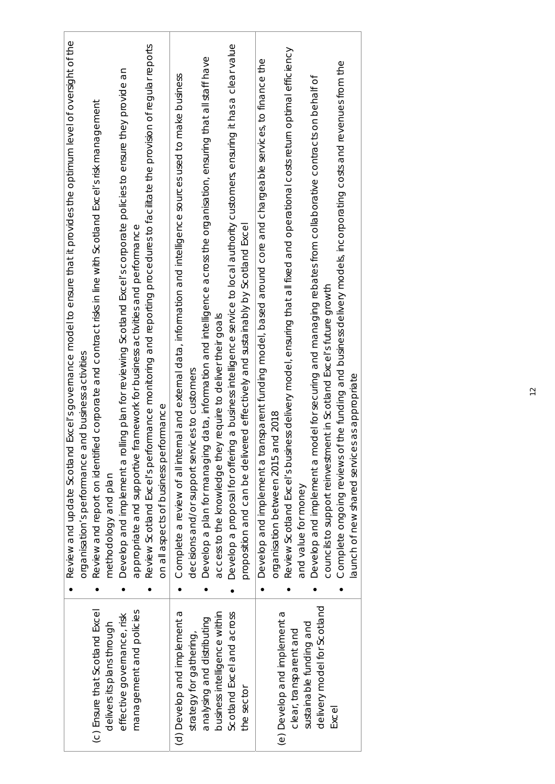|                                                              | Excel's governance model to ensure that it provides the optimum level of oversight of the<br>organisation's performance and business activities<br>Review and update Scotland |
|--------------------------------------------------------------|-------------------------------------------------------------------------------------------------------------------------------------------------------------------------------|
| (c) Ensure that Scotland Excel<br>delivers its plans through | Review and report on identified corpate and contract risks in line with Scotland Excel's risk management<br>methodology and plan                                              |
| effective governance, risk                                   | Develop and implement a rolling plan for reviewing Scotland Excel's corporate policies to ensure they provide an                                                              |
| management and policies                                      | amework for business activities and performance<br>appropriate and supportive fr                                                                                              |
|                                                              | Review Scotland Excel's performance monitoring and reporting procedures to facilitate the provision of regular reports                                                        |
|                                                              | ormance<br>on all aspects of business perf                                                                                                                                    |
| (d) Develop and implement a                                  | Complete a review of all internal and axternal data, information and intelligence sources used to make business                                                               |
| strategy for gathering,                                      | ices to customers<br>decisions and/or support servi                                                                                                                           |
| analysing and distributing                                   | data, information and intelligence across the organisation, ensuring that all staff have<br>Develop a plan for managing                                                       |
| business intelligence within                                 | access to the knowledge they require to deliver their goals                                                                                                                   |
| Scotland Excel and across                                    | Develop a proposal for offering a business intelligence service to local authority customers, ensuring it has a clear value                                                   |
| the sector                                                   | proposition and can be delivered effectively and sustainably by Scotland Excel                                                                                                |
|                                                              | insparent funding model, based around core and chargeable services, to finance the<br>Develop and implement a tra                                                             |
| (e) Develop and implement a                                  | nd 2018<br>organisation between 2015 a                                                                                                                                        |
| clear, transparent and                                       | ess delivery model, ensuring that all fixed and operational costs return optimal efficiency<br>Review Scotland Excel's busin                                                  |
| sustainable funding and                                      | and value for money                                                                                                                                                           |
| delivery model for Scotland                                  | Develop and implement a model for securing and managing rebates from collaborative contracts on behalf of                                                                     |
| Excel                                                        | councils to support reinvestment in Scotland Excel's future growth                                                                                                            |
|                                                              | Complete ongoing reviews of the funding and business delivery models, incorporating costs and revenues from the                                                               |
|                                                              | launch of new shared services as appropriate                                                                                                                                  |